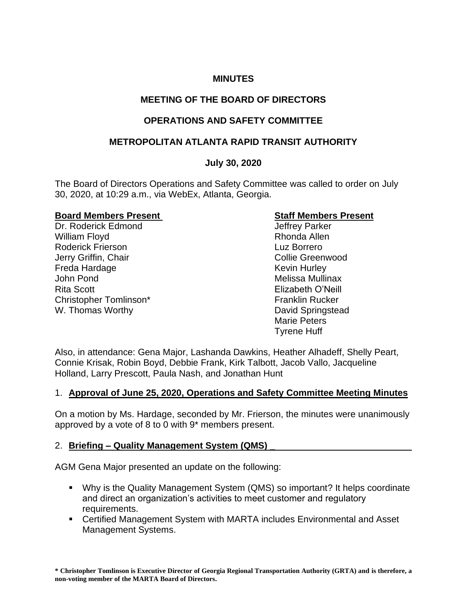## **MINUTES**

# **MEETING OF THE BOARD OF DIRECTORS**

# **OPERATIONS AND SAFETY COMMITTEE**

## **METROPOLITAN ATLANTA RAPID TRANSIT AUTHORITY**

### **July 30, 2020**

The Board of Directors Operations and Safety Committee was called to order on July 30, 2020, at 10:29 a.m., via WebEx, Atlanta, Georgia.

### **Board Members Present Constraining Staff Members Present**

Dr. Roderick Edmond Green Controllery Parker William Floyd **Rhonda Allen** Roderick Frierson **Luz Borrero** Luz Borrero Jerry Griffin, Chair Collie Greenwood Freda Hardage **Keyin Hurley** Kevin Hurley John Pond Melissa Mullinax Rita Scott Elizabeth O'Neill Christopher Tomlinson\* Franklin Rucker W. Thomas Worthy **David Springstead** 

Marie Peters Tyrene Huff

Also, in attendance: Gena Major, Lashanda Dawkins, Heather Alhadeff, Shelly Peart, Connie Krisak, Robin Boyd, Debbie Frank, Kirk Talbott, Jacob Vallo, Jacqueline Holland, Larry Prescott, Paula Nash, and Jonathan Hunt

## 1. **Approval of June 25, 2020, Operations and Safety Committee Meeting Minutes**

On a motion by Ms. Hardage, seconded by Mr. Frierson, the minutes were unanimously approved by a vote of 8 to 0 with 9\* members present.

## 2. **Briefing – Quality Management System (QMS) \_**

AGM Gena Major presented an update on the following:

- Why is the Quality Management System (QMS) so important? It helps coordinate and direct an organization's activities to meet customer and regulatory requirements.
- Certified Management System with MARTA includes Environmental and Asset Management Systems.